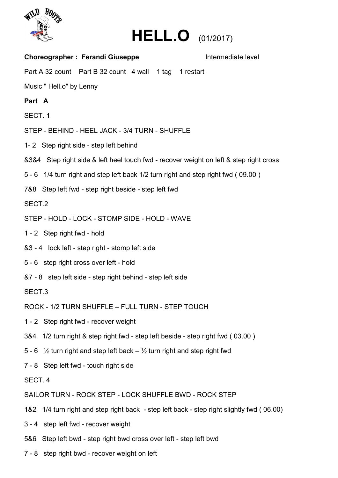



| <b>Choreographer: Ferandi Giuseppe</b>                                                          | Intermediate level |
|-------------------------------------------------------------------------------------------------|--------------------|
| Part A 32 count Part B 32 count 4 wall 1 tag 1 restart                                          |                    |
| Music "Hell.o" by Lenny                                                                         |                    |
| Part A                                                                                          |                    |
| SECT. 1                                                                                         |                    |
| STEP - BEHIND - HEEL JACK - 3/4 TURN - SHUFFLE                                                  |                    |
| 1-2 Step right side - step left behind                                                          |                    |
| &3&4 Step right side & left heel touch fwd - recover weight on left & step right cross          |                    |
| 5 - 6 1/4 turn right and step left back 1/2 turn right and step right fwd (09.00)               |                    |
| 7&8 Step left fwd - step right beside - step left fwd                                           |                    |
| SECT.2                                                                                          |                    |
| STEP - HOLD - LOCK - STOMP SIDE - HOLD - WAVE                                                   |                    |
| 1 - 2 Step right fwd - hold                                                                     |                    |
| &3 - 4 lock left - step right - stomp left side                                                 |                    |
| 5 - 6 step right cross over left - hold                                                         |                    |
| &7 - 8 step left side - step right behind - step left side                                      |                    |
| SECT.3                                                                                          |                    |
| ROCK - 1/2 TURN SHUFFLE - FULL TURN - STEP TOUCH                                                |                    |
| 1 - 2 Step right fwd - recover weight                                                           |                    |
| 3&4 1/2 turn right & step right fwd - step left beside - step right fwd (03.00)                 |                    |
| 5 - 6 $\frac{1}{2}$ turn right and step left back – $\frac{1}{2}$ turn right and step right fwd |                    |
| 7 - 8 Step left fwd - touch right side                                                          |                    |
| SECT. 4                                                                                         |                    |
| SAILOR TURN - ROCK STEP - LOCK SHUFFLE BWD - ROCK STEP                                          |                    |
| 1&2 1/4 turn right and step right back - step left back - step right slightly fwd (06.00)       |                    |
| 3 - 4 step left fwd - recover weight                                                            |                    |
| 5&6 Step left bwd - step right bwd cross over left - step left bwd                              |                    |

7 - 8 step right bwd - recover weight on left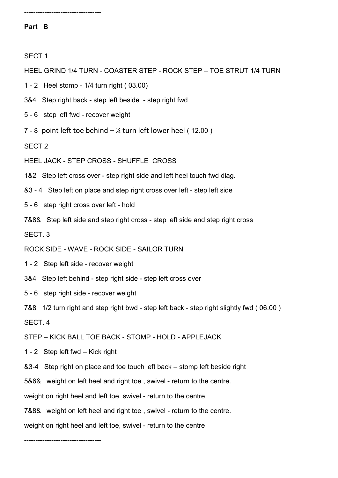----------------------------------

## **Part B**

SECT 1

HEEL GRIND 1/4 TURN - COASTER STEP - ROCK STEP – TOE STRUT 1/4 TURN

1 - 2 Heel stomp - 1/4 turn right ( 03.00)

3&4 Step right back - step left beside - step right fwd

5 - 6 step left fwd - recover weight

7 - 8 point left toe behind  $-$  ¼ turn left lower heel (12.00)

SECT 2

HEEL JACK - STEP CROSS - SHUFFLE CROSS

1&2 Step left cross over - step right side and left heel touch fwd diag.

&3 - 4 Step left on place and step right cross over left - step left side

5 - 6 step right cross over left - hold

7&8& Step left side and step right cross - step left side and step right cross

SECT. 3

ROCK SIDE - WAVE - ROCK SIDE - SAILOR TURN

1 - 2 Step left side - recover weight

3&4 Step left behind - step right side - step left cross over

5 - 6 step right side - recover weight

7&8 1/2 turn right and step right bwd - step left back - step right slightly fwd ( 06.00 )

SECT. 4

STEP – KICK BALL TOE BACK - STOMP - HOLD - APPLEJACK

1 - 2 Step left fwd – Kick right

&3-4 Step right on place and toe touch left back – stomp left beside right

5&6& weight on left heel and right toe , swivel - return to the centre.

weight on right heel and left toe, swivel - return to the centre

7&8& weight on left heel and right toe , swivel - return to the centre.

weight on right heel and left toe, swivel - return to the centre

----------------------------------